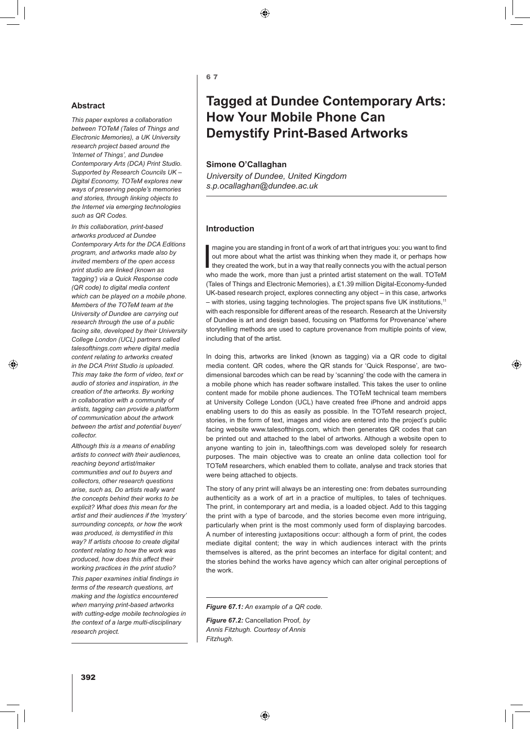⊕

## **Abstract**

*This paper explores a collaboration between TOTeM (Tales of Things and Electronic Memories), a UK University research project based around the 'Internet of Things', and Dundee Contemporary Arts (DCA) Print Studio. Supported by Research Councils UK – Digital Economy, TOTeM explores new ways of preserving people's memories and stories, through linking objects to the Internet via emerging technologies such as QR Codes.* 

*In this collaboration, print-based artworks produced at Dundee Contemporary Arts for the DCA Editions program, and artworks made also by invited members of the open access print studio are linked (known as 'tagging') via a Quick Response code (QR code) to digital media content which can be played on a mobile phone. Members of the TOTeM team at the University of Dundee are carrying out research through the use of a public facing site, developed by their University College London (UCL) partners called talesofthings.com where digital media content relating to artworks created in the DCA Print Studio is uploaded. This may take the form of video, text or audio of stories and inspiration, in the creation of the artworks. By working in collaboration with a community of artists, tagging can provide a platform of communication about the artwork between the artist and potential buyer/ collector.*

⊕

*Although this is a means of enabling artists to connect with their audiences, reaching beyond artist/maker communities and out to buyers and collectors, other research questions arise, such as, Do artists really want the concepts behind their works to be explicit? What does this mean for the artist and their audiences if the 'mystery' surrounding concepts, or how the work was produced, is demystified in this way? If artists choose to create digital content relating to how the work was produced, how does this affect their working practices in the print studio?* 

*This paper examines initial findings in terms of the research questions, art making and the logistics encountered when marrying print-based artworks with cutting-edge mobile technologies in the context of a large multi-disciplinary research project.*

6 7

# **Tagged at Dundee Contemporary Arts: How Your Mobile Phone Can Demystify Print-Based Artworks**

#### **Simone O'Callaghan**

*University of Dundee, United Kingdom s.p.ocallaghan@dundee.ac.uk*

#### **Introduction**

Imagine you are standing in front of a work of art that intrigues you: you want to find<br>out more about what the artist was thinking when they made it, or perhaps how<br>they created the work, but in a way that really connects magine you are standing in front of a work of art that intrigues you: you want to find out more about what the artist was thinking when they made it, or perhaps how who made the work, more than just a printed artist statement on the wall. TOTeM (Tales of Things and Electronic Memories), a £1.39 million Digital-Economy-funded UK-based research project, explores connecting any object – in this case, artworks – with stories, using tagging technologies. The project spans five UK institutions,<sup>11</sup> with each responsible for different areas of the research. Research at the University of Dundee is art and design based, focusing on *'*Platforms for Provenance*'* where storytelling methods are used to capture provenance from multiple points of view, including that of the artist.

In doing this, artworks are linked (known as tagging) via a QR code to digital media content. QR codes, where the QR stands for 'Quick Response'*,* are twodimensional barcodes which can be read by 'scanning' the code with the camera in a mobile phone which has reader software installed. This takes the user to online content made for mobile phone audiences. The TOTeM technical team members at University College London (UCL) have created free iPhone and android apps enabling users to do this as easily as possible. In the TOTeM research project, stories, in the form of text, images and video are entered into the project's public facing website www.talesofthings.com*,* which then generates QR codes that can be printed out and attached to the label of artworks. Although a website open to anyone wanting to join in, taleofthings.com was developed solely for research purposes. The main objective was to create an online data collection tool for TOTeM researchers, which enabled them to collate, analyse and track stories that were being attached to objects.

♠

The story of any print will always be an interesting one: from debates surrounding authenticity as a work of art in a practice of multiples, to tales of techniques. The print, in contemporary art and media, is a loaded object. Add to this tagging the print with a type of barcode, and the stories become even more intriguing, particularly when print is the most commonly used form of displaying barcodes. A number of interesting juxtapositions occur: although a form of print, the codes mediate digital content; the way in which audiences interact with the prints themselves is altered, as the print becomes an interface for digital content; and the stories behind the works have agency which can alter original perceptions of the work.

*Figure 67.2:* Cancellation Proof*, by Annis Fitzhugh. Courtesy of Annis Fitzhugh.* 

*Figure 67.1: An example of a QR code.*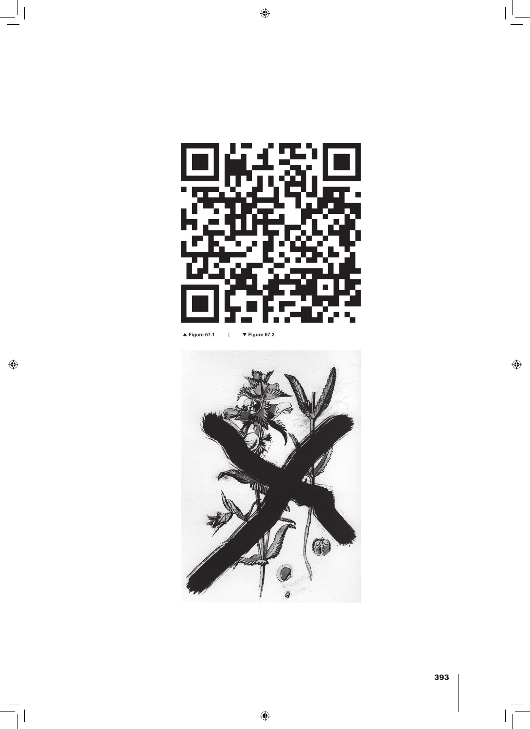

 $\bigcirc$ 

▲ **Figure 67.1** | ▼ **Figure 67.2**

 $\bigoplus$ 



 $\bigoplus$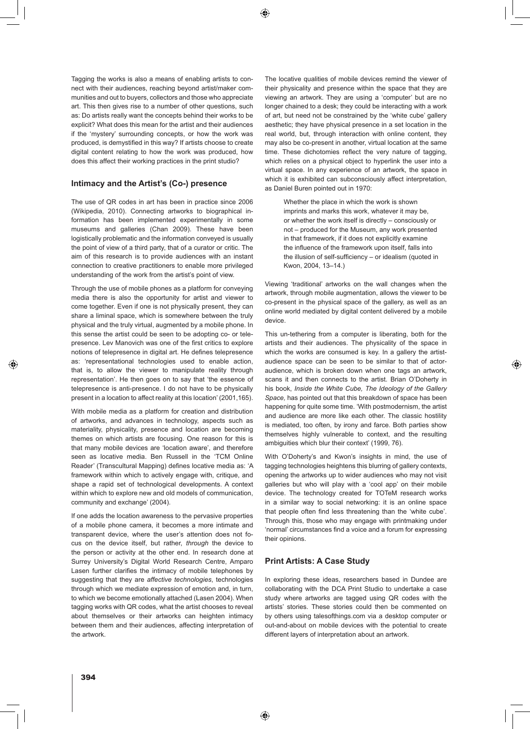◈

Tagging the works is also a means of enabling artists to connect with their audiences, reaching beyond artist/maker communities and out to buyers, collectors and those who appreciate art. This then gives rise to a number of other questions, such as: Do artists really want the concepts behind their works to be explicit? What does this mean for the artist and their audiences if the 'mystery' surrounding concepts, or how the work was produced, is demystified in this way? If artists choose to create digital content relating to how the work was produced, how does this affect their working practices in the print studio?

### **Intimacy and the Artist's (Co-) presence**

The use of QR codes in art has been in practice since 2006 (Wikipedia, 2010). Connecting artworks to biographical information has been implemented experimentally in some museums and galleries (Chan 2009). These have been logistically problematic and the information conveyed is usually the point of view of a third party, that of a curator or critic. The aim of this research is to provide audiences with an instant connection to creative practitioners to enable more privileged understanding of the work from the artist's point of view.

Through the use of mobile phones as a platform for conveying media there is also the opportunity for artist and viewer to come together. Even if one is not physically present, they can share a liminal space, which is somewhere between the truly physical and the truly virtual, augmented by a mobile phone. In this sense the artist could be seen to be adopting co- or telepresence. Lev Manovich was one of the first critics to explore notions of telepresence in digital art. He defines telepresence as: 'representational technologies used to enable action, that is, to allow the viewer to manipulate reality through representation'. He then goes on to say that 'the essence of telepresence is anti-presence. I do not have to be physically present in a location to affect reality at this location' (2001,165).

With mobile media as a platform for creation and distribution of artworks, and advances in technology, aspects such as materiality, physicality, presence and location are becoming themes on which artists are focusing. One reason for this is that many mobile devices are 'location aware', and therefore seen as locative media. Ben Russell in the 'TCM Online Reader' (Transcultural Mapping) defines locative media as: 'A framework within which to actively engage with, critique, and shape a rapid set of technological developments. A context within which to explore new and old models of communication, community and exchange' (2004).

If one adds the location awareness to the pervasive properties of a mobile phone camera, it becomes a more intimate and transparent device, where the user's attention does not focus on the device itself, but rather, *through* the device to the person or activity at the other end. In research done at Surrey University's Digital World Research Centre, Amparo Lasen further clarifies the intimacy of mobile telephones by suggesting that they are *affective technologies*, technologies through which we mediate expression of emotion and, in turn, to which we become emotionally attached (Lasen 2004). When tagging works with QR codes, what the artist chooses to reveal about themselves or their artworks can heighten intimacy between them and their audiences, affecting interpretation of the artwork.

The locative qualities of mobile devices remind the viewer of their physicality and presence within the space that they are viewing an artwork. They are using a 'computer' but are no longer chained to a desk; they could be interacting with a work of art, but need not be constrained by the 'white cube' gallery aesthetic; they have physical presence in a set location in the real world, but, through interaction with online content, they may also be co-present in another, virtual location at the same time. These dichotomies reflect the very nature of tagging, which relies on a physical object to hyperlink the user into a virtual space. In any experience of an artwork, the space in which it is exhibited can subconsciously affect interpretation, as Daniel Buren pointed out in 1970:

Whether the place in which the work is shown imprints and marks this work, whatever it may be, or whether the work itself is directly – consciously or not – produced for the Museum, any work presented in that framework, if it does not explicitly examine the influence of the framework upon itself, falls into the illusion of self-sufficiency – or idealism (quoted in Kwon, 2004, 13–14.)

Viewing 'traditional' artworks on the wall changes when the artwork, through mobile augmentation, allows the viewer to be co-present in the physical space of the gallery, as well as an online world mediated by digital content delivered by a mobile device.

This un-tethering from a computer is liberating, both for the artists and their audiences. The physicality of the space in which the works are consumed is key. In a gallery the artistaudience space can be seen to be similar to that of actoraudience, which is broken down when one tags an artwork, scans it and then connects to the artist. Brian O'Doherty in his book, *Inside the White Cube, The Ideology of the Gallery Space,* has pointed out that this breakdown of space has been happening for quite some time. 'With postmodernism, the artist and audience are more like each other. The classic hostility is mediated, too often, by irony and farce. Both parties show themselves highly vulnerable to context, and the resulting ambiguities which blur their context' (1999, 76).

♠

With O'Doherty's and Kwon's insights in mind, the use of tagging technologies heightens this blurring of gallery contexts, opening the artworks up to wider audiences who may not visit galleries but who will play with a 'cool app' on their mobile device. The technology created for TOTeM research works in a similar way to social networking: it is an online space that people often find less threatening than the 'white cube'. Through this, those who may engage with printmaking under 'normal' circumstances find a voice and a forum for expressing their opinions.

### **Print Artists: A Case Study**

In exploring these ideas, researchers based in Dundee are collaborating with the DCA Print Studio to undertake a case study where artworks are tagged using QR codes with the artists' stories. These stories could then be commented on by others using talesofthings.com via a desktop computer or out-and-about on mobile devices with the potential to create different layers of interpretation about an artwork.

394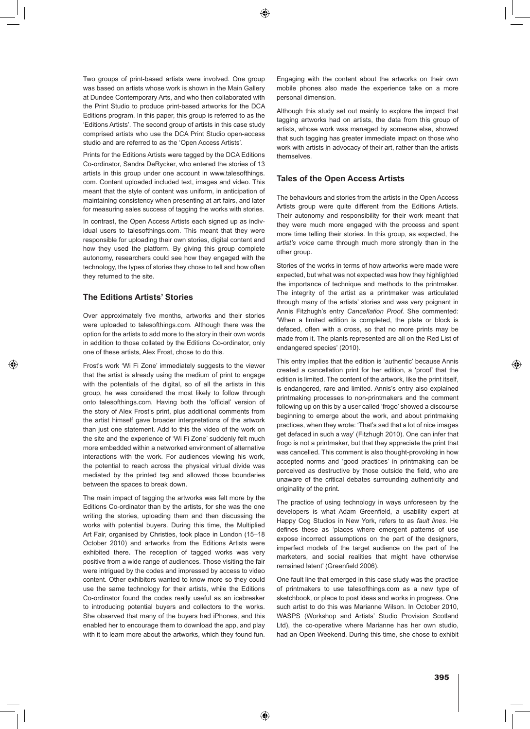◈

Two groups of print-based artists were involved. One group was based on artists whose work is shown in the Main Gallery at Dundee Contemporary Arts, and who then collaborated with the Print Studio to produce print-based artworks for the DCA Editions program. In this paper, this group is referred to as the 'Editions Artists'*.* The second group of artists in this case study comprised artists who use the DCA Print Studio open-access studio and are referred to as the 'Open Access Artists'*.*

Prints for the Editions Artists were tagged by the DCA Editions Co-ordinator, Sandra DeRycker, who entered the stories of 13 artists in this group under one account in www.talesofthings. com. Content uploaded included text, images and video. This meant that the style of content was uniform, in anticipation of maintaining consistency when presenting at art fairs, and later for measuring sales success of tagging the works with stories.

In contrast, the Open Access Artists each signed up as individual users to talesofthings.com. This meant that they were responsible for uploading their own stories, digital content and how they used the platform. By giving this group complete autonomy, researchers could see how they engaged with the technology, the types of stories they chose to tell and how often they returned to the site.

#### **The Editions Artists' Stories**

⊕

Over approximately five months, artworks and their stories were uploaded to talesofthings.com*.* Although there was the option for the artists to add more to the story in their own words in addition to those collated by the Editions Co-ordinator, only one of these artists, Alex Frost, chose to do this.

Frost's work 'Wi Fi Zone' immediately suggests to the viewer that the artist is already using the medium of print to engage with the potentials of the digital, so of all the artists in this group, he was considered the most likely to follow through onto talesofthings.com*.* Having both the 'official' version of the story of Alex Frost's print, plus additional comments from the artist himself gave broader interpretations of the artwork than just one statement. Add to this the video of the work on the site and the experience of 'Wi Fi Zone' suddenly felt much more embedded within a networked environment of alternative interactions with the work. For audiences viewing his work, the potential to reach across the physical virtual divide was mediated by the printed tag and allowed those boundaries between the spaces to break down.

The main impact of tagging the artworks was felt more by the Editions Co-ordinator than by the artists, for she was the one writing the stories, uploading them and then discussing the works with potential buyers. During this time, the Multiplied Art Fair, organised by Christies, took place in London (15–18 October 2010) and artworks from the Editions Artists were exhibited there. The reception of tagged works was very positive from a wide range of audiences. Those visiting the fair were intrigued by the codes and impressed by access to video content. Other exhibitors wanted to know more so they could use the same technology for their artists, while the Editions Co-ordinator found the codes really useful as an icebreaker to introducing potential buyers and collectors to the works. She observed that many of the buyers had iPhones, and this enabled her to encourage them to download the app, and play with it to learn more about the artworks, which they found fun.

Engaging with the content about the artworks on their own mobile phones also made the experience take on a more personal dimension.

Although this study set out mainly to explore the impact that tagging artworks had on artists, the data from this group of artists, whose work was managed by someone else, showed that such tagging has greater immediate impact on those who work with artists in advocacy of their art, rather than the artists themselves.

#### **Tales of the Open Access Artists**

The behaviours and stories from the artists in the Open Access Artists group were quite different from the Editions Artists. Their autonomy and responsibility for their work meant that they were much more engaged with the process and spent more time telling their stories. In this group, as expected, the *artist's voice* came through much more strongly than in the other group.

Stories of the works in terms of how artworks were made were expected, but what was not expected was how they highlighted the importance of technique and methods to the printmaker. The integrity of the artist as a printmaker was articulated through many of the artists' stories and was very poignant in Annis Fitzhugh's entry *Cancellation Proof.* She commented: 'When a limited edition is completed, the plate or block is defaced, often with a cross, so that no more prints may be made from it. The plants represented are all on the Red List of endangered species' (2010).

This entry implies that the edition is 'authentic' because Annis created a cancellation print for her edition, a 'proof' that the edition is limited. The content of the artwork, like the print itself, is endangered, rare and limited. Annis's entry also explained printmaking processes to non-printmakers and the comment following up on this by a user called 'frogo' showed a discourse beginning to emerge about the work, and about printmaking practices, when they wrote: 'That's sad that a lot of nice images get defaced in such a way' (Fitzhugh 2010). One can infer that frogo is not a printmaker, but that they appreciate the print that was cancelled. This comment is also thought-provoking in how accepted norms and 'good practices' in printmaking can be perceived as destructive by those outside the field, who are unaware of the critical debates surrounding authenticity and originality of the print.

The practice of using technology in ways unforeseen by the developers is what Adam Greenfield, a usability expert at Happy Cog Studios in New York, refers to as *fault lines.* He defines these as 'places where emergent patterns of use expose incorrect assumptions on the part of the designers, imperfect models of the target audience on the part of the marketers, and social realities that might have otherwise remained latent' (Greenfield 2006).

One fault line that emerged in this case study was the practice of printmakers to use talesofthings.com as a new type of sketchbook, or place to post ideas and works in progress. One such artist to do this was Marianne Wilson. In October 2010, WASPS (Workshop and Artists' Studio Provision Scotland Ltd), the co-operative where Marianne has her own studio, had an Open Weekend. During this time, she chose to exhibit ♠